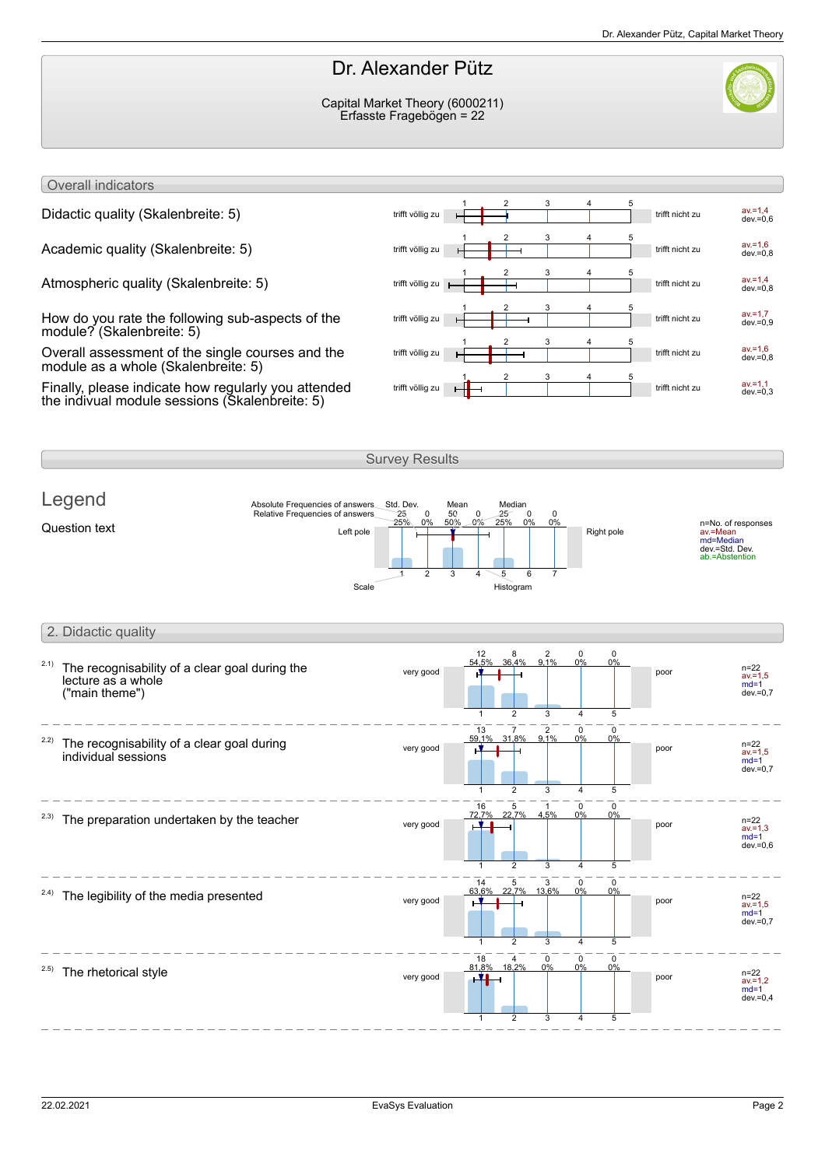## Dr. Alexander Pütz

Capital Market Theory (6000211) Erfasste Fragebögen = 22



Overall indicators

How do you rate the following sub-aspects of the module? (Skalenbreite: 5)

Overall assessment of the single courses and the module as a whole (Skalenbreite: 5)

Finally, please indicate how regularly you attended the indivual module sessions (Skalenbreite: 5)



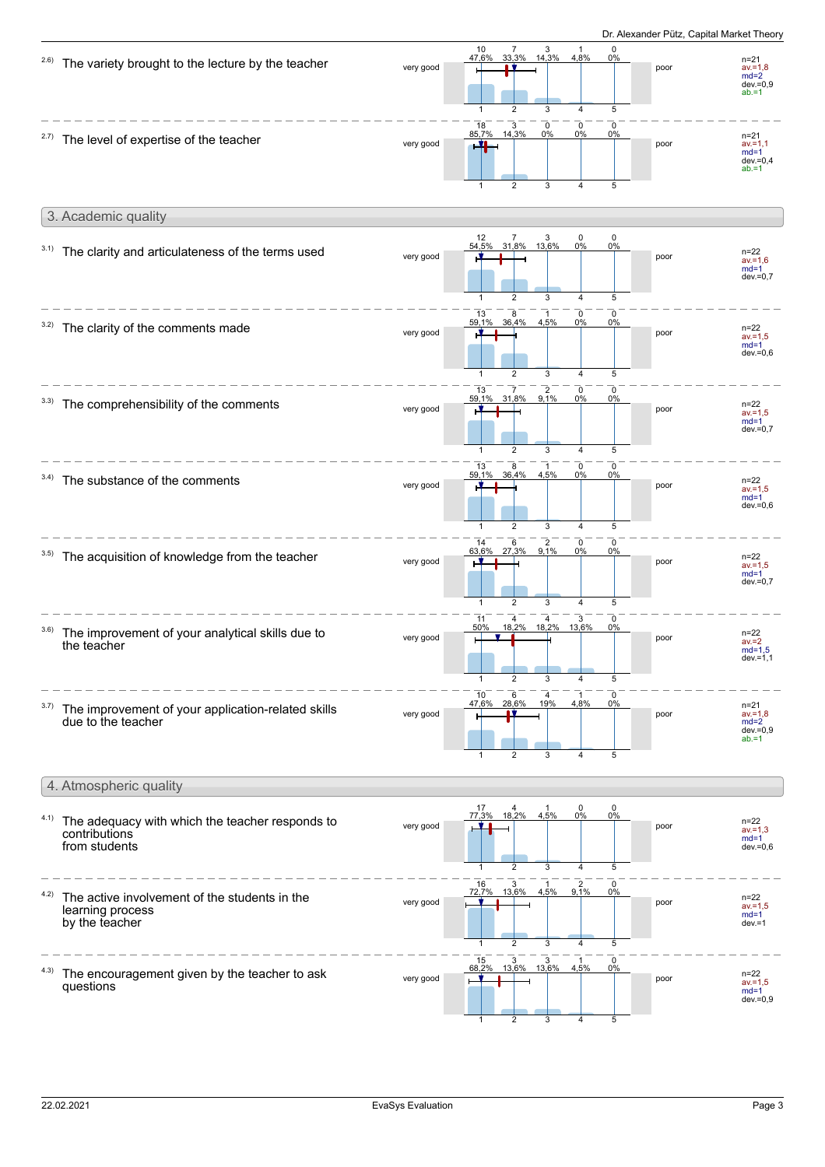

1

2

3

4

5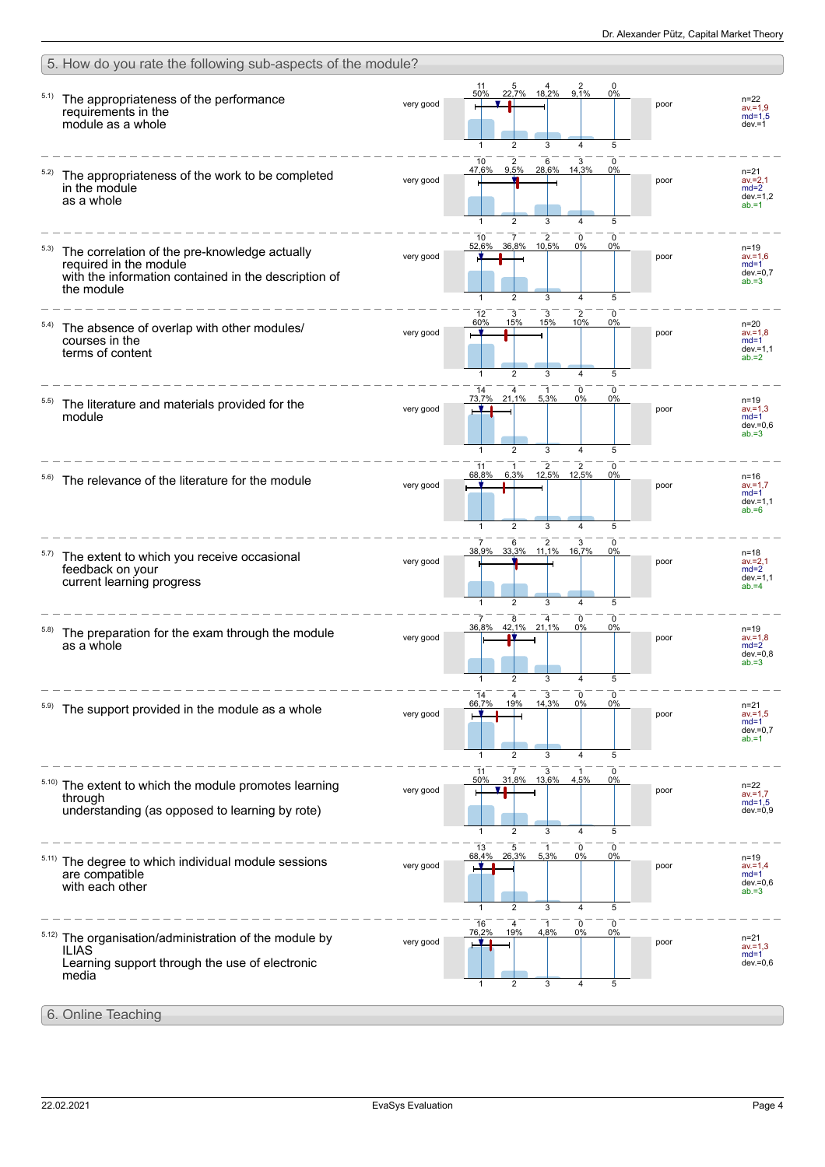|       | 5. How do you rate the following sub-aspects of the module?                                                                                   |           |                                                                                                                  |      |                                                             |
|-------|-----------------------------------------------------------------------------------------------------------------------------------------------|-----------|------------------------------------------------------------------------------------------------------------------|------|-------------------------------------------------------------|
| 5.1)  | The appropriateness of the performance<br>requirements in the<br>module as a whole                                                            | very good | 2<br>$\Omega$<br>11<br>22,7% 18,2% 9,1%<br>50%<br>$0\%$<br>5<br>3<br>4                                           | poor | $n = 22$<br>$av = 1.9$<br>$md=1.5$<br>$dev = 1$             |
| 5.2)  | The appropriateness of the work to be completed<br>in the module<br>as a whole                                                                | very good | 10<br>$\frac{2}{9,5\%}$<br>$6$ 3<br>28,6% 14,3%<br>47,6%<br>0%<br>$\overline{2}$<br>5<br>$\mathbf{1}$<br>3<br>4  | poor | $n = 21$<br>$av = 2,1$<br>$md=2$<br>$dev = 1.2$<br>$ab = 1$ |
| 5.3)  | The correlation of the pre-knowledge actually<br>required in the module<br>with the information contained in the description of<br>the module | very good | $\overline{2}$<br>10<br>0<br>0<br>7<br>10,5%<br>36,8%<br>0%<br>0%<br>52,6%<br>1<br>$\overline{2}$<br>3<br>4<br>5 | poor | $n = 19$<br>$av = 1.6$<br>$md=1$<br>$dev = 0.7$<br>$ab = 3$ |
| 5.4)  | The absence of overlap with other modules/<br>courses in the<br>terms of content                                                              | very good | $\overline{2}$<br>12<br>3<br>3<br>$\Omega$<br>60%<br>15%<br>15%<br>10%<br>0%<br>$\mathbf{1}$<br>5                | poor | $n=20$<br>$av = 1.8$<br>$md=1$<br>$dev = 1,1$<br>$ab = 2$   |
|       | The literature and materials provided for the<br>module                                                                                       | very good | 0<br>$\Omega$<br>21,1%<br>5,3%<br>73,7%<br>0%<br>0%<br>5<br>$\overline{2}$<br>3<br>4                             | poor | n=19<br>$av = 1.3$<br>$md=1$<br>$dev=0,6$<br>$ab = 3$       |
|       | The relevance of the literature for the module                                                                                                | very good | 2<br>2<br>11<br>1<br>0<br>12,5%<br>68,8%<br>12,5%<br>6,3%<br>0%<br>$\overline{2}$<br>5<br>1<br>3<br>4            | poor | n=16<br>$av = 1.7$<br>$md=1$<br>$dev = 1,1$<br>$ab = 6$     |
| 5.7)  | The extent to which you receive occasional<br>feedback on your<br>current learning progress                                                   | very good | $\overline{7}$<br>2<br>3<br>6<br><sup>0</sup><br>33,3% 11,1% 16,7%<br>38,9%<br>0%<br>5<br>1<br>2<br>3<br>4       | poor | $n = 18$<br>$av = 2,1$<br>$md=2$<br>$dev = 1,1$<br>$ab = 4$ |
| 5.8)  | The preparation for the exam through the module<br>as a whole                                                                                 | very good | 8<br>0<br>4<br>0<br>42,1% 21,1%<br>36.8%<br>0%<br>0%<br>3<br>5<br>1<br>2                                         | poor | $n = 19$<br>$av = 1.8$<br>$md=2$<br>dev.=0,8<br>$ab = 3$    |
|       | The support provided in the module as a whole                                                                                                 | very good | 14<br>3<br>0<br>0<br>14,3%<br>0%<br>66,7%<br>19%<br>0%<br>$\overline{2}$<br>3<br>4<br>5<br>1                     | poor | $n = 21$<br>$av = 1.5$<br>$md=1$<br>$dev = 0,7$<br>$ab = 1$ |
| 5.10) | The extent to which the module promotes learning<br>through<br>understanding (as opposed to learning by rote)                                 | very good | 11<br>0<br>31,8% 13,6%<br>50%<br>4,5%<br>0%<br>$\overline{2}$<br>5<br>1<br>3<br>4                                | poor | $n = 22$<br>$av = 1,7$<br>$md=1,5$<br>$dev = 0,9$           |
|       | The degree to which individual module sessions<br>are compatible<br>with each other                                                           | very good | 13<br>5<br>0<br>0<br>26,3%<br>68,4%<br>5,3%<br>0%<br>0%<br>$\overline{2}$<br>3<br>5<br>1<br>4                    | poor | n=19<br>$av = 1.4$<br>$md=1$<br>$dev=0,6$<br>$ab = 3$       |
| 5.12) | The organisation/administration of the module by<br><b>ILIAS</b><br>Learning support through the use of electronic<br>media                   | very good | 0<br>16<br>76,2%<br>0<br>4<br>-1<br>19%<br>0%<br>4,8%<br>0%<br>3<br>5<br>2<br>4                                  | poor | $n = 21$<br>$av = 1.3$<br>$md=1$<br>$dev = 0,6$             |
|       | 6. Online Teaching                                                                                                                            |           |                                                                                                                  |      |                                                             |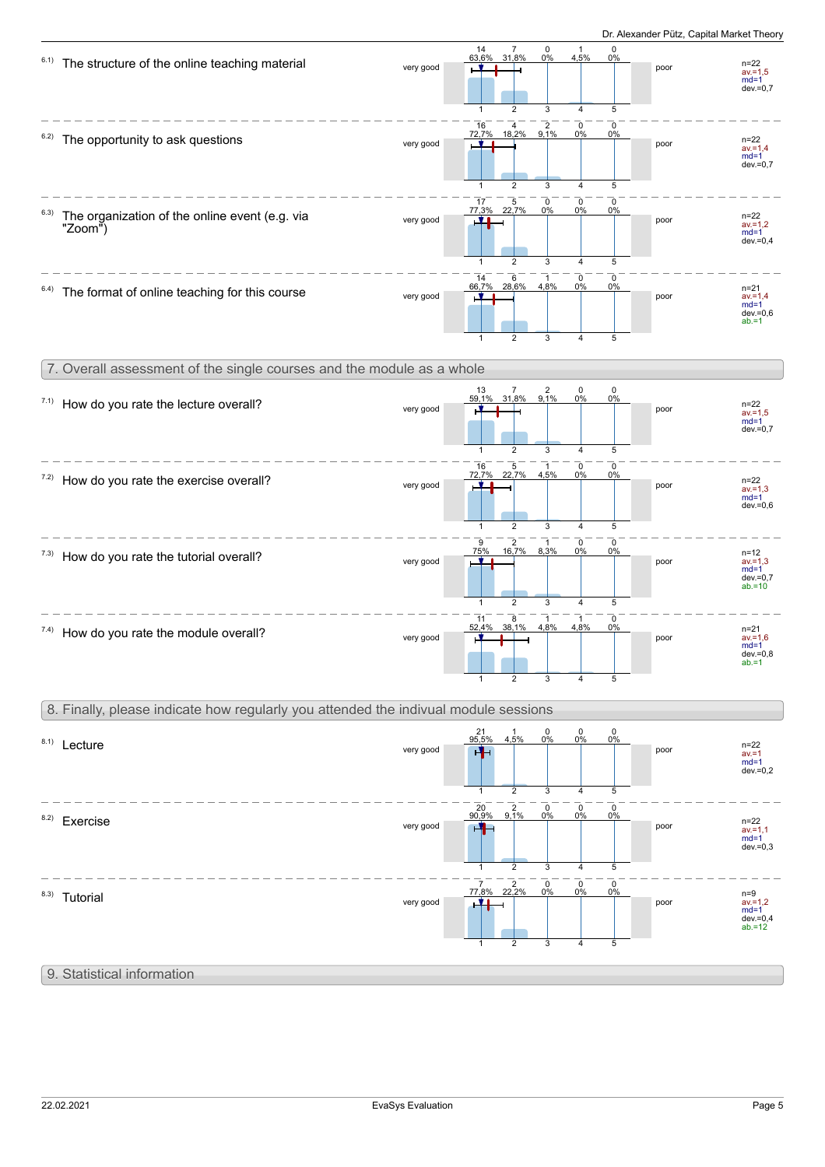